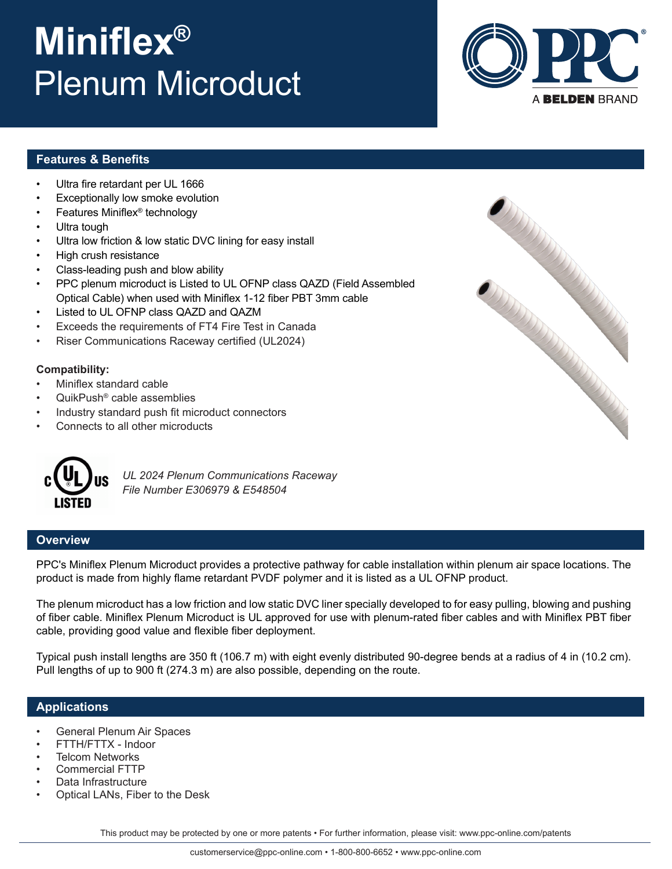#### customerservice@ppc-online.com • 1-800-800-6652 • www.ppc-online.com

This product may be protected by one or more patents • For further information, please visit: www.ppc-online.com/patents

## **Miniflex®** Plenum Microduct

## **Features & Benefits**

- Ultra fire retardant per UL 1666
- Exceptionally low smoke evolution
- Features Miniflex® technology
- Ultra tough
- Ultra low friction & low static DVC lining for easy install
- High crush resistance
- Class-leading push and blow ability
- PPC plenum microduct is Listed to UL OFNP class QAZD (Field Assembled Optical Cable) when used with Miniflex 1-12 fiber PBT 3mm cable
- Listed to UL OFNP class QAZD and QAZM
- Exceeds the requirements of FT4 Fire Test in Canada
- Riser Communications Raceway certified (UL2024)

### **Compatibility:**

- Miniflex standard cable
- QuikPush® cable assemblies
- Industry standard push fit microduct connectors
- Connects to all other microducts



*UL 2024 Plenum Communications Raceway File Number E306979 & E548504*

## **Overview**

PPC's Miniflex Plenum Microduct provides a protective pathway for cable installation within plenum air space locations. The product is made from highly flame retardant PVDF polymer and it is listed as a UL OFNP product.

The plenum microduct has a low friction and low static DVC liner specially developed to for easy pulling, blowing and pushing of fiber cable. Miniflex Plenum Microduct is UL approved for use with plenum-rated fiber cables and with Miniflex PBT fiber cable, providing good value and flexible fiber deployment.

Typical push install lengths are 350 ft (106.7 m) with eight evenly distributed 90-degree bends at a radius of 4 in (10.2 cm). Pull lengths of up to 900 ft (274.3 m) are also possible, depending on the route.

## **Applications**

- General Plenum Air Spaces
- FTTH/FTTX Indoor
- **Telcom Networks**
- Commercial FTTP
- Data Infrastructure
- Optical LANs, Fiber to the Desk